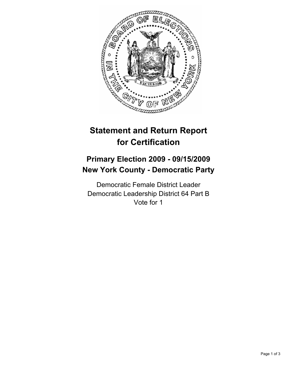

# **Statement and Return Report for Certification**

## **Primary Election 2009 - 09/15/2009 New York County - Democratic Party**

Democratic Female District Leader Democratic Leadership District 64 Part B Vote for 1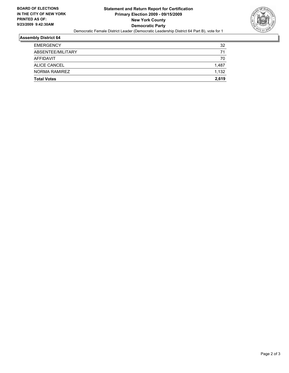

#### **Assembly District 64**

| <b>Total Votes</b> | 2.619 |
|--------------------|-------|
| NORMA RAMIREZ      | 1.132 |
| ALICE CANCEL       | 1,487 |
| AFFIDAVIT          | 70    |
| ABSENTEE/MILITARY  | 71    |
| <b>EMERGENCY</b>   | 32    |